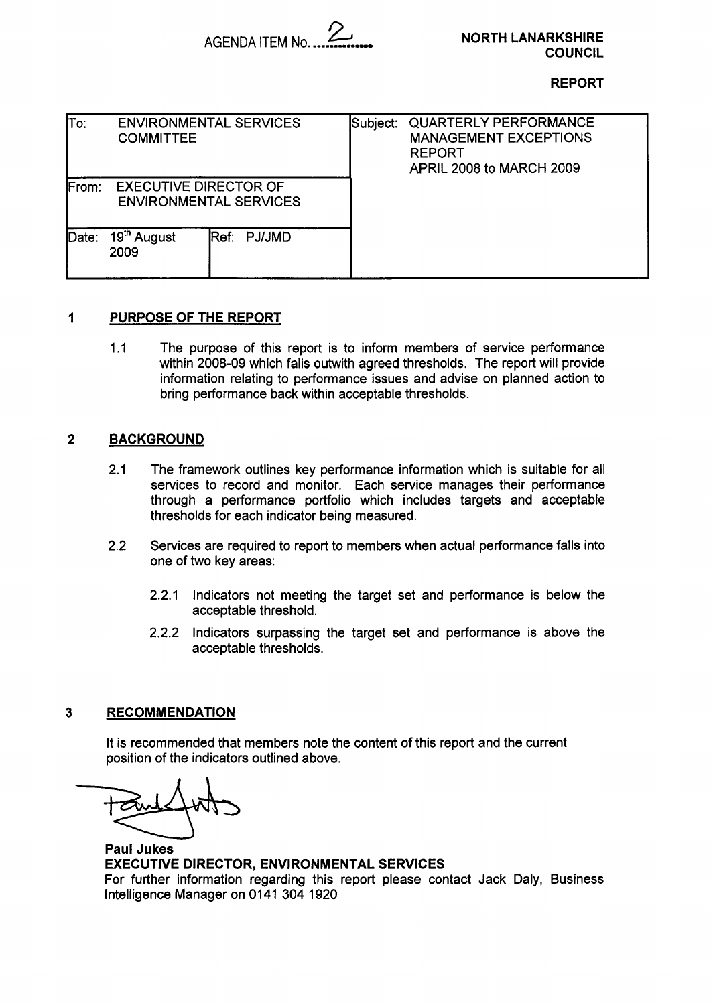

### **REPORT**

| $\overline{\text{To}}$ : | <b>COMMITTEE</b>                | <b>ENVIRONMENTAL SERVICES</b> | Subject: | <b>QUARTERLY PERFORMANCE</b><br><b>MANAGEMENT EXCEPTIONS</b><br><b>REPORT</b><br>APRIL 2008 to MARCH 2009 |
|--------------------------|---------------------------------|-------------------------------|----------|-----------------------------------------------------------------------------------------------------------|
| <b>IFrom:</b>            | <b>EXECUTIVE DIRECTOR OF</b>    | <b>ENVIRONMENTAL SERVICES</b> |          |                                                                                                           |
| $\mathsf{Date}$ :        | 19 <sup>th</sup> August<br>2009 | Ref: PJ/JMD                   |          |                                                                                                           |

## **1 PURPOSE OF THE REPORT**

1.1 The purpose of this report is to inform members of service performance within 2008-09 which falls outwith agreed thresholds. The report will provide information relating to performance issues and advise on planned action to bring performance back within acceptable thresholds.

## **2 BACKGROUND**

- **2.1** The framework outlines key performance information which is suitable for all services to record and monitor. Each service manages their performance through a performance portfolio which includes targets and acceptable thresholds for each indicator being measured.
- 2.2 Services are required to report to members when actual performance falls into one of two key areas:
	- 2.2.1 Indicators not meeting the target set and performance is below the acceptable threshold.
	- 2.2.2 Indicators surpassing the target set and performance is above the acceptable thresholds.

## **3 RECOMMENDATION**

It is recommended that members note the content of this report and the current position of the indicators outlined above.

**Paul Jukes EXECUTIVE DIRECTOR, ENVIRONMENTAL SERVICES**  For further information regarding this report please contact Jack Daly, Business Intelligence Manager on 0141 304 1920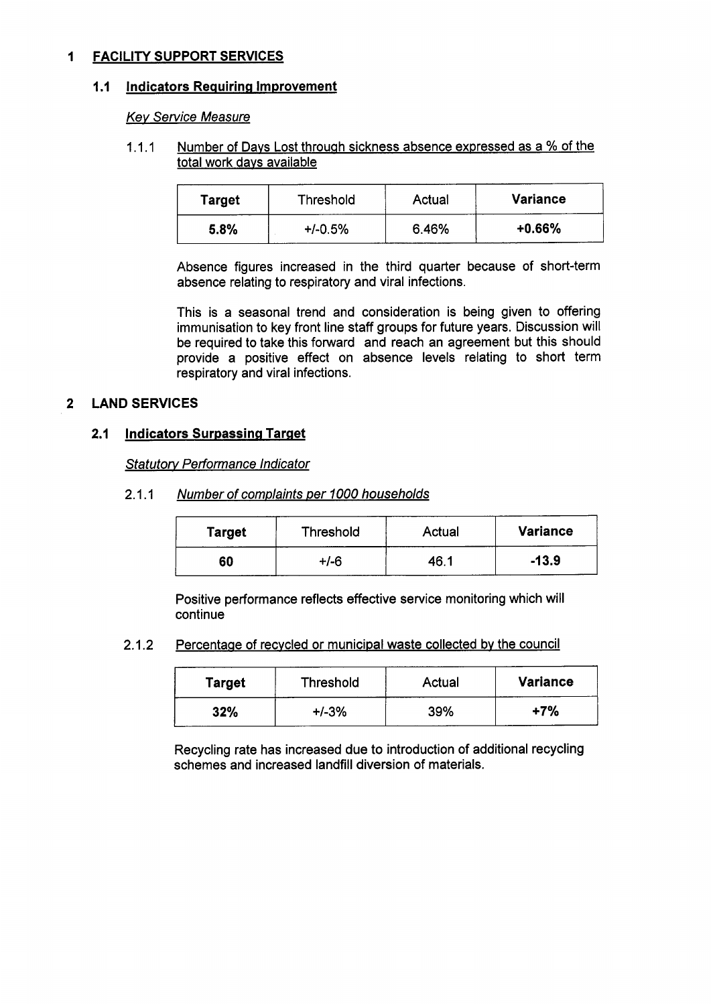## **1 FACILITY SUPPORT SERVICES**

### **1.1 Indicators Requiring Improvement**

### *Kev Service Measure*

## 1.1.1 Number of Davs Lost through sickness absence exmessed as a % of the total work davs available

| <b>Target</b> | Threshold | Actual | <b>Variance</b> |
|---------------|-----------|--------|-----------------|
| 5.8%          | $+/-0.5%$ | 6.46%  | $+0.66%$        |

Absence figures increased in the third quarter because of short-term absence relating to respiratory and viral infections.

This is a seasonal trend and consideration is being given to offering immunisation to key front line staff groups for future years. Discussion will be required to take this forward and reach an agreement but this should provide a positive effect on absence levels relating to short term respiratory and viral infections.

## **2 LAND SERVICES**

## **2.1 Indicators Surpassing Target**

*Statutow Performance Indicator* 

#### Number of complaints per 1000 households  $2.1.1$

| <b>Target</b> | Threshold | Actual | <b>Variance</b> |
|---------------|-----------|--------|-----------------|
| 60            | +/-6      | 46.    | $-13.9$         |

Positive performance reflects effective service monitoring which will continue

2.1.2 Percentage of recycled or municipal waste collected by the council

| Target | Threshold | Actual | <b>Variance</b> |
|--------|-----------|--------|-----------------|
| 32%    | $+/-3%$   | 39%    | $+7%$           |

Recycling rate has increased due to introduction of additional recycling schemes and increased landfill diversion of materials.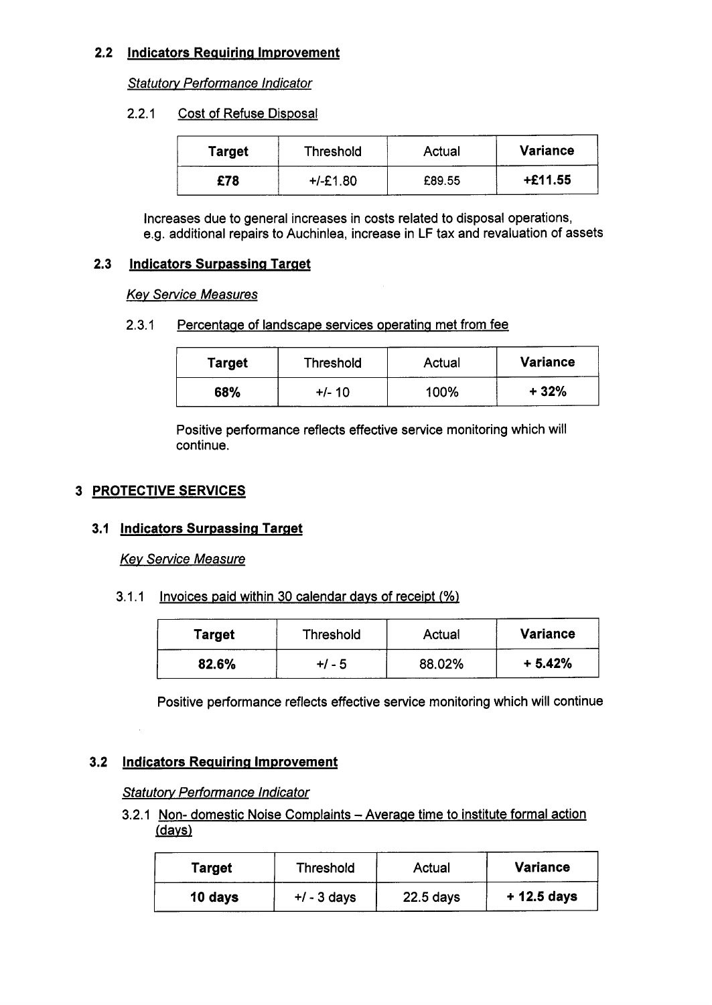# **2.2** Indicators Requiring Improvement

*Statutory Performance Indicator* 

#### $2.2.1$ Cost of Refuse Disposal

| Target | <b>Threshold</b> | Actual | <b>Variance</b> |
|--------|------------------|--------|-----------------|
| £78    | +/-£1.80         | £89.55 | $+£11.55$       |

Increases due to general increases in costs related to disposal operations, e.g. additional repairs to Auchinlea, increase in **LF** tax and revaluation of assets

## **2.3 Indicators Surpassing Target**

## *Key Service Measures*

## 2.3.1 Percentage of landscape services operating met from fee

| <b>Target</b> | <b>Threshold</b> | Actual | <b>Variance</b> |
|---------------|------------------|--------|-----------------|
| 68%           | +/- 10           | 100%   | + 32%           |

Positive performance reflects effective service monitoring which will continue.

# **3 PROTECTIVE SERVICES**

# **3.1 Indicators Surpassing Target**

## *Key Service Measure*

3.1.1 Invoices paid within 30 calendar days of receipt (%)

| Target | <b>Threshold</b> | Actual | <b>Variance</b> |
|--------|------------------|--------|-----------------|
| 82.6%  | +/ - 5           | 88.02% | $+5.42%$        |

Positive performance reflects effective service monitoring which will continue

# **3.2** Indicators Requiring Improvement

## *Sfafuforv Performance Indicator*

3.2.1 Non- domestic Noise Complaints - Average time to institute formal action /davs)

| Target  | <b>Threshold</b> | Actual      | <b>Variance</b> |
|---------|------------------|-------------|-----------------|
| 10 days | $+/-3$ days      | $22.5$ days | $+12.5$ days    |